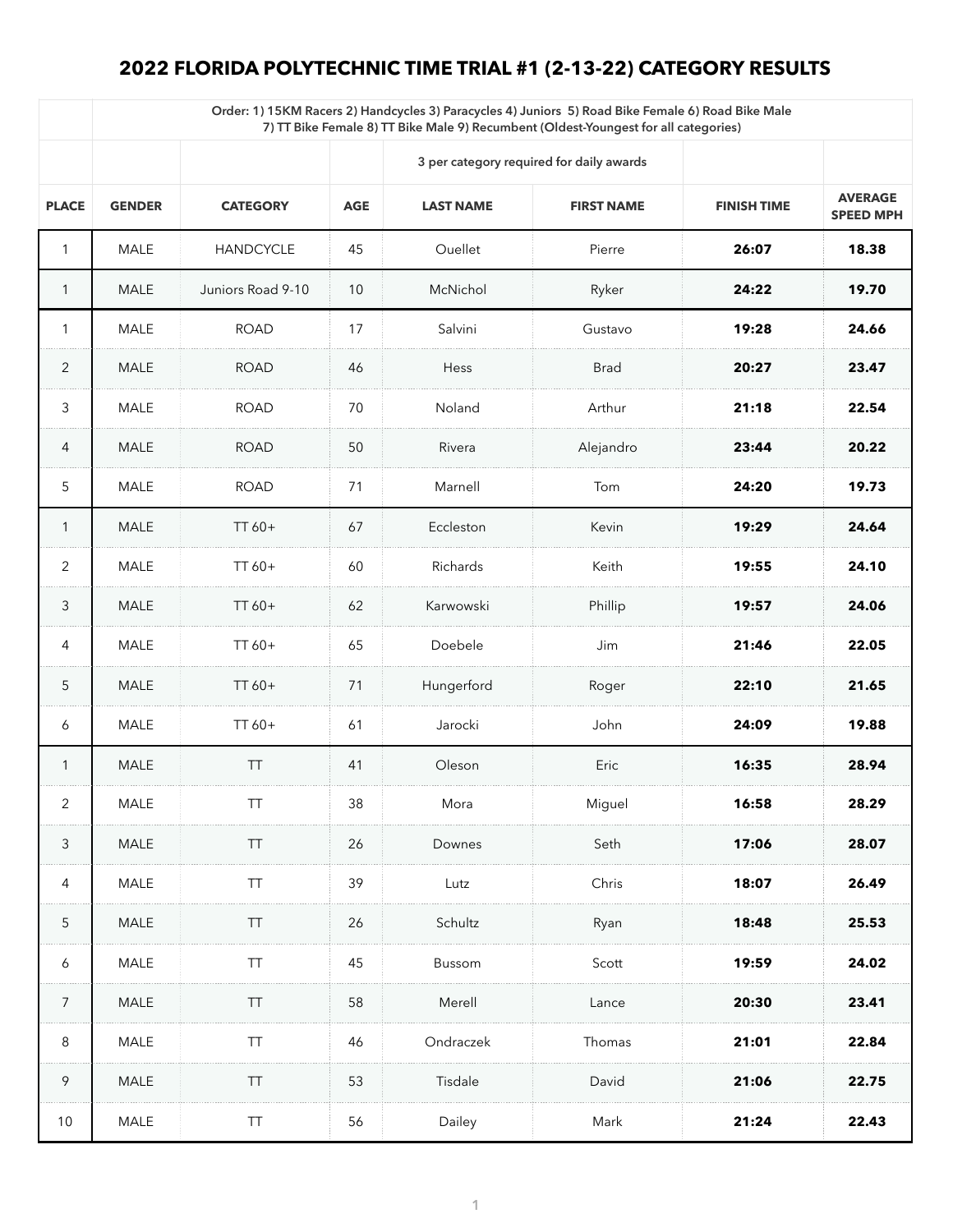## **2022 FLORIDA POLYTECHNIC TIME TRIAL #1 (2-13-22) CATEGORY RESULTS**

|                 | Order: 1) 15KM Racers 2) Handcycles 3) Paracycles 4) Juniors 5) Road Bike Female 6) Road Bike Male<br>7) TT Bike Female 8) TT Bike Male 9) Recumbent (Oldest-Youngest for all categories) |                   |            |                                          |                   |                    |                                    |  |  |  |  |
|-----------------|-------------------------------------------------------------------------------------------------------------------------------------------------------------------------------------------|-------------------|------------|------------------------------------------|-------------------|--------------------|------------------------------------|--|--|--|--|
|                 |                                                                                                                                                                                           |                   |            | 3 per category required for daily awards |                   |                    |                                    |  |  |  |  |
| <b>PLACE</b>    | <b>GENDER</b>                                                                                                                                                                             | <b>CATEGORY</b>   | <b>AGE</b> | <b>LAST NAME</b>                         | <b>FIRST NAME</b> | <b>FINISH TIME</b> | <b>AVERAGE</b><br><b>SPEED MPH</b> |  |  |  |  |
|                 | <b>MALE</b>                                                                                                                                                                               | <b>HANDCYCLE</b>  | 45         | Ouellet                                  | Pierre            | 26:07              | 18.38                              |  |  |  |  |
|                 | <b>MALE</b>                                                                                                                                                                               | Juniors Road 9-10 | 10         | McNichol                                 | Ryker             | 24:22              | 19.70                              |  |  |  |  |
| $\mathbf 1$     | <b>MALE</b>                                                                                                                                                                               | <b>ROAD</b>       | 17         | Salvini                                  | Gustavo           | 19:28              | 24.66                              |  |  |  |  |
| $\overline{2}$  | <b>MALE</b>                                                                                                                                                                               | <b>ROAD</b>       | 46         | Hess                                     | <b>Brad</b>       | 20:27              | 23.47                              |  |  |  |  |
| $\mathfrak{Z}$  | <b>MALE</b>                                                                                                                                                                               | <b>ROAD</b>       | 70         | Noland                                   | Arthur            | 21:18              | 22.54                              |  |  |  |  |
| $\overline{4}$  | <b>MALE</b>                                                                                                                                                                               | <b>ROAD</b>       | 50         | Rivera                                   | Alejandro         | 23:44              | 20.22                              |  |  |  |  |
| $5\phantom{.}$  | <b>MALE</b>                                                                                                                                                                               | <b>ROAD</b>       | 71         | Marnell                                  | Tom               | 24:20              | 19.73                              |  |  |  |  |
|                 | MALE                                                                                                                                                                                      | $TT60+$           | 67         | Eccleston                                | Kevin             | 19:29              | 24.64                              |  |  |  |  |
| 2               | MALE                                                                                                                                                                                      | $TT60+$           | 60         | Richards                                 | Keith             | 19:55              | 24.10                              |  |  |  |  |
| 3               | <b>MALE</b>                                                                                                                                                                               | $TT60+$           | 62         | Karwowski                                | Phillip           | 19:57              | 24.06                              |  |  |  |  |
| $\overline{4}$  | MALE                                                                                                                                                                                      | $TT60+$           | 65         | Doebele                                  | Jim               | 21:46              | 22.05                              |  |  |  |  |
| 5               | MALE                                                                                                                                                                                      | $TT60+$           | 71         | Hungerford                               | Roger             | 22:10              | 21.65                              |  |  |  |  |
| 6               | MALE                                                                                                                                                                                      | $TT60+$           | 61         | Jarocki                                  | John              | 24:09              | 19.88                              |  |  |  |  |
|                 | <b>MALE</b>                                                                                                                                                                               | TT                | 41         | Oleson                                   | Eric              | 16:35              | 28.94                              |  |  |  |  |
| 2               | MALE                                                                                                                                                                                      | TT                | 38         | Mora                                     | Miguel            | 16:58              | 28.29                              |  |  |  |  |
| $\mathfrak{Z}$  | MALE                                                                                                                                                                                      | <b>TT</b>         | 26         | Downes                                   | Seth              | 17:06              | 28.07                              |  |  |  |  |
| 4               | <b>MALE</b>                                                                                                                                                                               | TT                | 39         | Lutz                                     | Chris             | 18:07              | 26.49                              |  |  |  |  |
| $5\overline{)}$ | MALE                                                                                                                                                                                      | TT                | 26         | Schultz                                  | Ryan              | 18:48              | 25.53                              |  |  |  |  |
| 6               | MALE                                                                                                                                                                                      | TT                | 45         | <b>Bussom</b>                            | Scott             | 19:59              | 24.02                              |  |  |  |  |
| 7               | <b>MALE</b>                                                                                                                                                                               | TT                | 58         | Merell                                   | Lance             | 20:30              | 23.41                              |  |  |  |  |
| 8               | MALE                                                                                                                                                                                      | <b>TT</b>         | 46         | Ondraczek                                | Thomas            | 21:01              | 22.84                              |  |  |  |  |
| 9               | MALE                                                                                                                                                                                      | <b>TT</b>         | 53         | Tisdale                                  | David             | 21:06              | 22.75                              |  |  |  |  |
| 10              | MALE                                                                                                                                                                                      | TT                | 56         | Dailey                                   | Mark              | 21:24              | 22.43                              |  |  |  |  |